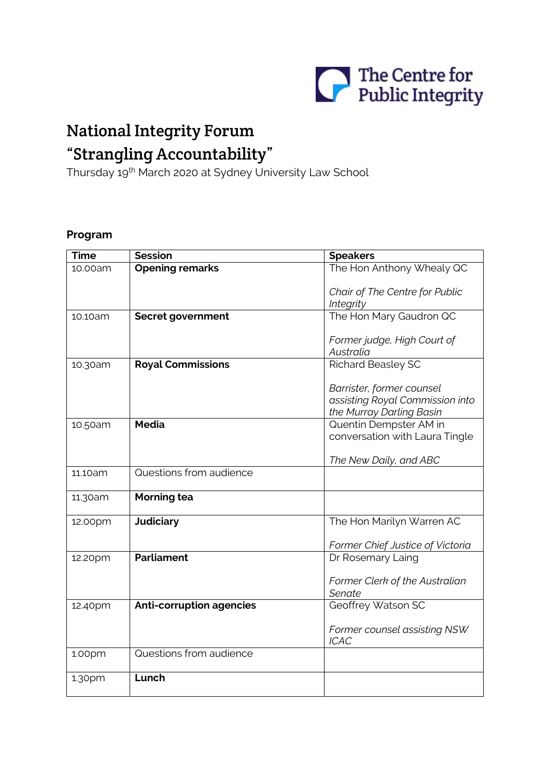

# National Integrity Forum "Strangling Accountability"

Thursday 19th March 2020 at Sydney University Law School

## **Program**

| <b>Time</b> | <b>Session</b>                  | <b>Speakers</b>                                             |
|-------------|---------------------------------|-------------------------------------------------------------|
| 10.00am     | <b>Opening remarks</b>          | The Hon Anthony Whealy QC                                   |
|             |                                 |                                                             |
|             |                                 | Chair of The Centre for Public                              |
|             |                                 | Integrity                                                   |
| 10.10am     | Secret government               | The Hon Mary Gaudron QC                                     |
|             |                                 |                                                             |
|             |                                 | Former judge, High Court of                                 |
|             |                                 | Australia                                                   |
|             | <b>Royal Commissions</b>        | <b>Richard Beasley SC</b>                                   |
| 10.30am     |                                 |                                                             |
|             |                                 | Barrister, former counsel                                   |
|             |                                 |                                                             |
|             |                                 | assisting Royal Commission into<br>the Murray Darling Basin |
|             | <b>Media</b>                    |                                                             |
| 10.50am     |                                 | Quentin Dempster AM in                                      |
|             |                                 | conversation with Laura Tingle                              |
|             |                                 |                                                             |
|             |                                 | The New Daily, and ABC                                      |
| 11.10am     | Questions from audience         |                                                             |
| 11.30am     | <b>Morning tea</b>              |                                                             |
|             |                                 |                                                             |
| 12.00pm     | <b>Judiciary</b>                | The Hon Marilyn Warren AC                                   |
|             |                                 |                                                             |
|             |                                 | Former Chief Justice of Victoria                            |
| 12.20pm     | <b>Parliament</b>               | Dr Rosemary Laing                                           |
|             |                                 |                                                             |
|             |                                 | Former Clerk of the Australian                              |
|             |                                 | Senate                                                      |
| 12.40pm     | <b>Anti-corruption agencies</b> | Geoffrey Watson SC                                          |
|             |                                 |                                                             |
|             |                                 | Former counsel assisting NSW                                |
|             |                                 | <b>ICAC</b>                                                 |
|             | Questions from audience         |                                                             |
| 1.00pm      |                                 |                                                             |
|             | Lunch                           |                                                             |
| 1.30pm      |                                 |                                                             |
|             |                                 |                                                             |